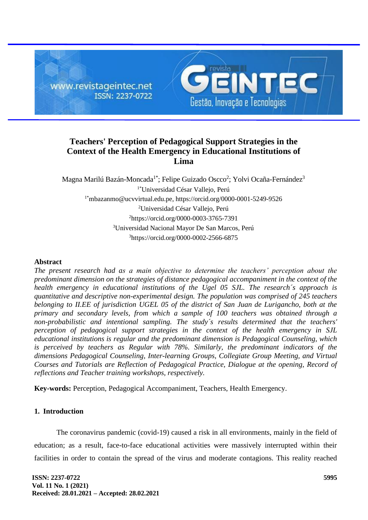

# **Teachers' Perception of Pedagogical Support Strategies in the Context of the Health Emergency in Educational Institutions of Lima**

Magna Marilú Bazán-Moncada<sup>1\*</sup>; Felipe Guizado Oscco<sup>2</sup>; Yolvi Ocaña-Fernández<sup>3</sup> 1\*Universidad César Vallejo, Perú 1\*[mbazanmo@ucvvirtual.edu.pe,](mailto:1*mbazanmo@ucvvirtual.edu.pe) https://orcid.org/0000-0001-5249-9526 <sup>2</sup>Universidad César Vallejo, Perú <sup>2</sup>https://orcid.org/0000-0003-3765-7391 <sup>3</sup>Universidad Nacional Mayor De San Marcos, Perú <sup>3</sup>https://orcid.org/0000-0002-2566-6875

### **Abstract**

*The present research had as a main objective to determine the teachers' perception about the predominant dimension on the strategies of distance pedagogical accompaniment in the context of the health emergency in educational institutions of the Ugel 05 SJL. The research´s approach is quantitative and descriptive non-experimental design. The population was comprised of 245 teachers belonging to II.EE of jurisdiction UGEL 05 of the district of San Juan de Lurigancho, both at the primary and secondary levels, from which a sample of 100 teachers was obtained through a non-probabilistic and intentional sampling. The study´s results determined that the teachers' perception of pedagogical support strategies in the context of the health emergency in SJL educational institutions is regular and the predominant dimension is Pedagogical Counseling, which is perceived by teachers as Regular with 78%. Similarly, the predominant indicators of the dimensions Pedagogical Counseling, Inter-learning Groups, Collegiate Group Meeting, and Virtual Courses and Tutorials are Reflection of Pedagogical Practice, Dialogue at the opening, Record of reflections and Teacher training workshops, respectively.*

**Key-words:** Perception, Pedagogical Accompaniment, Teachers, Health Emergency.

# **1. Introduction**

The coronavirus pandemic (covid-19) caused a risk in all environments, mainly in the field of education; as a result, face-to-face educational activities were massively interrupted within their facilities in order to contain the spread of the virus and moderate contagions. This reality reached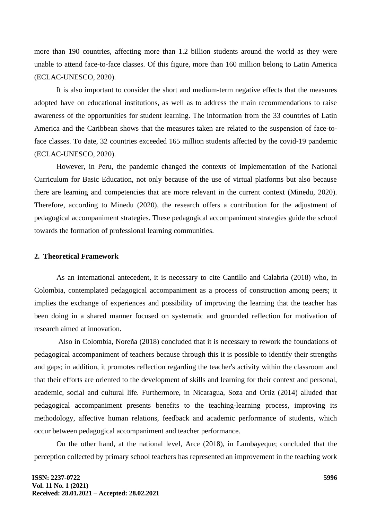more than 190 countries, affecting more than 1.2 billion students around the world as they were unable to attend face-to-face classes. Of this figure, more than 160 million belong to Latin America (ECLAC-UNESCO, 2020).

It is also important to consider the short and medium-term negative effects that the measures adopted have on educational institutions, as well as to address the main recommendations to raise awareness of the opportunities for student learning. The information from the 33 countries of Latin America and the Caribbean shows that the measures taken are related to the suspension of face-toface classes. To date, 32 countries exceeded 165 million students affected by the covid-19 pandemic (ECLAC-UNESCO, 2020).

However, in Peru, the pandemic changed the contexts of implementation of the National Curriculum for Basic Education, not only because of the use of virtual platforms but also because there are learning and competencies that are more relevant in the current context (Minedu, 2020). Therefore, according to Minedu (2020), the research offers a contribution for the adjustment of pedagogical accompaniment strategies. These pedagogical accompaniment strategies guide the school towards the formation of professional learning communities.

#### **2. Theoretical Framework**

As an international antecedent, it is necessary to cite Cantillo and Calabria (2018) who, in Colombia, contemplated pedagogical accompaniment as a process of construction among peers; it implies the exchange of experiences and possibility of improving the learning that the teacher has been doing in a shared manner focused on systematic and grounded reflection for motivation of research aimed at innovation.

Also in Colombia, Noreña (2018) concluded that it is necessary to rework the foundations of pedagogical accompaniment of teachers because through this it is possible to identify their strengths and gaps; in addition, it promotes reflection regarding the teacher's activity within the classroom and that their efforts are oriented to the development of skills and learning for their context and personal, academic, social and cultural life. Furthermore, in Nicaragua, Soza and Ortiz (2014) alluded that pedagogical accompaniment presents benefits to the teaching-learning process, improving its methodology, affective human relations, feedback and academic performance of students, which occur between pedagogical accompaniment and teacher performance.

On the other hand, at the national level, Arce (2018), in Lambayeque; concluded that the perception collected by primary school teachers has represented an improvement in the teaching work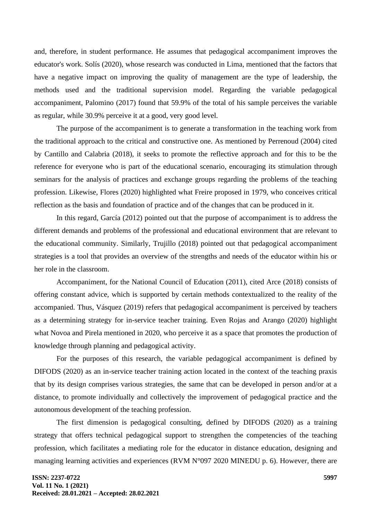and, therefore, in student performance. He assumes that pedagogical accompaniment improves the educator's work. Solís (2020), whose research was conducted in Lima, mentioned that the factors that have a negative impact on improving the quality of management are the type of leadership, the methods used and the traditional supervision model. Regarding the variable pedagogical accompaniment, Palomino (2017) found that 59.9% of the total of his sample perceives the variable as regular, while 30.9% perceive it at a good, very good level.

The purpose of the accompaniment is to generate a transformation in the teaching work from the traditional approach to the critical and constructive one. As mentioned by Perrenoud (2004) cited by Cantillo and Calabria (2018), it seeks to promote the reflective approach and for this to be the reference for everyone who is part of the educational scenario, encouraging its stimulation through seminars for the analysis of practices and exchange groups regarding the problems of the teaching profession. Likewise, Flores (2020) highlighted what Freire proposed in 1979, who conceives critical reflection as the basis and foundation of practice and of the changes that can be produced in it.

In this regard, García (2012) pointed out that the purpose of accompaniment is to address the different demands and problems of the professional and educational environment that are relevant to the educational community. Similarly, Trujillo (2018) pointed out that pedagogical accompaniment strategies is a tool that provides an overview of the strengths and needs of the educator within his or her role in the classroom.

Accompaniment, for the National Council of Education (2011), cited Arce (2018) consists of offering constant advice, which is supported by certain methods contextualized to the reality of the accompanied. Thus, Vásquez (2019) refers that pedagogical accompaniment is perceived by teachers as a determining strategy for in-service teacher training. Even Rojas and Arango (2020) highlight what Novoa and Pirela mentioned in 2020, who perceive it as a space that promotes the production of knowledge through planning and pedagogical activity.

For the purposes of this research, the variable pedagogical accompaniment is defined by DIFODS (2020) as an in-service teacher training action located in the context of the teaching praxis that by its design comprises various strategies, the same that can be developed in person and/or at a distance, to promote individually and collectively the improvement of pedagogical practice and the autonomous development of the teaching profession.

The first dimension is pedagogical consulting, defined by DIFODS (2020) as a training strategy that offers technical pedagogical support to strengthen the competencies of the teaching profession, which facilitates a mediating role for the educator in distance education, designing and managing learning activities and experiences (RVM N°097 2020 MINEDU p. 6). However, there are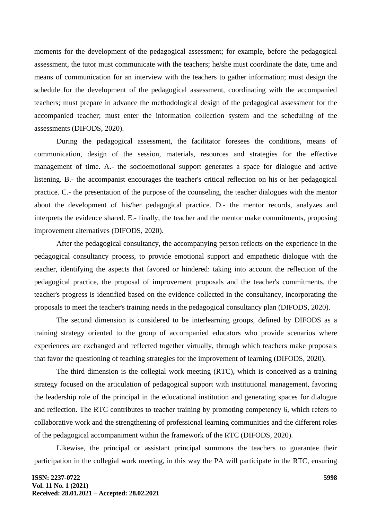moments for the development of the pedagogical assessment; for example, before the pedagogical assessment, the tutor must communicate with the teachers; he/she must coordinate the date, time and means of communication for an interview with the teachers to gather information; must design the schedule for the development of the pedagogical assessment, coordinating with the accompanied teachers; must prepare in advance the methodological design of the pedagogical assessment for the accompanied teacher; must enter the information collection system and the scheduling of the assessments (DIFODS, 2020).

During the pedagogical assessment, the facilitator foresees the conditions, means of communication, design of the session, materials, resources and strategies for the effective management of time. A.- the socioemotional support generates a space for dialogue and active listening. B.- the accompanist encourages the teacher's critical reflection on his or her pedagogical practice. C.- the presentation of the purpose of the counseling, the teacher dialogues with the mentor about the development of his/her pedagogical practice. D.- the mentor records, analyzes and interprets the evidence shared. E.- finally, the teacher and the mentor make commitments, proposing improvement alternatives (DIFODS, 2020).

After the pedagogical consultancy, the accompanying person reflects on the experience in the pedagogical consultancy process, to provide emotional support and empathetic dialogue with the teacher, identifying the aspects that favored or hindered: taking into account the reflection of the pedagogical practice, the proposal of improvement proposals and the teacher's commitments, the teacher's progress is identified based on the evidence collected in the consultancy, incorporating the proposals to meet the teacher's training needs in the pedagogical consultancy plan (DIFODS, 2020).

The second dimension is considered to be interlearning groups, defined by DIFODS as a training strategy oriented to the group of accompanied educators who provide scenarios where experiences are exchanged and reflected together virtually, through which teachers make proposals that favor the questioning of teaching strategies for the improvement of learning (DIFODS, 2020).

The third dimension is the collegial work meeting (RTC), which is conceived as a training strategy focused on the articulation of pedagogical support with institutional management, favoring the leadership role of the principal in the educational institution and generating spaces for dialogue and reflection. The RTC contributes to teacher training by promoting competency 6, which refers to collaborative work and the strengthening of professional learning communities and the different roles of the pedagogical accompaniment within the framework of the RTC (DIFODS, 2020).

Likewise, the principal or assistant principal summons the teachers to guarantee their participation in the collegial work meeting, in this way the PA will participate in the RTC, ensuring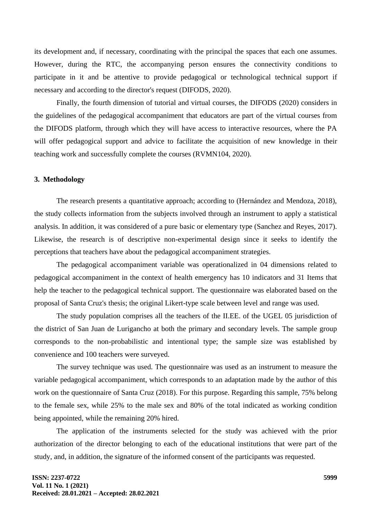its development and, if necessary, coordinating with the principal the spaces that each one assumes. However, during the RTC, the accompanying person ensures the connectivity conditions to participate in it and be attentive to provide pedagogical or technological technical support if necessary and according to the director's request (DIFODS, 2020).

Finally, the fourth dimension of tutorial and virtual courses, the DIFODS (2020) considers in the guidelines of the pedagogical accompaniment that educators are part of the virtual courses from the DIFODS platform, through which they will have access to interactive resources, where the PA will offer pedagogical support and advice to facilitate the acquisition of new knowledge in their teaching work and successfully complete the courses (RVMN104, 2020).

### **3. Methodology**

The research presents a quantitative approach; according to (Hernández and Mendoza, 2018), the study collects information from the subjects involved through an instrument to apply a statistical analysis. In addition, it was considered of a pure basic or elementary type (Sanchez and Reyes, 2017). Likewise, the research is of descriptive non-experimental design since it seeks to identify the perceptions that teachers have about the pedagogical accompaniment strategies.

The pedagogical accompaniment variable was operationalized in 04 dimensions related to pedagogical accompaniment in the context of health emergency has 10 indicators and 31 Items that help the teacher to the pedagogical technical support. The questionnaire was elaborated based on the proposal of Santa Cruz's thesis; the original Likert-type scale between level and range was used.

The study population comprises all the teachers of the II.EE. of the UGEL 05 jurisdiction of the district of San Juan de Lurigancho at both the primary and secondary levels. The sample group corresponds to the non-probabilistic and intentional type; the sample size was established by convenience and 100 teachers were surveyed.

The survey technique was used. The questionnaire was used as an instrument to measure the variable pedagogical accompaniment, which corresponds to an adaptation made by the author of this work on the questionnaire of Santa Cruz (2018). For this purpose. Regarding this sample, 75% belong to the female sex, while 25% to the male sex and 80% of the total indicated as working condition being appointed, while the remaining 20% hired.

The application of the instruments selected for the study was achieved with the prior authorization of the director belonging to each of the educational institutions that were part of the study, and, in addition, the signature of the informed consent of the participants was requested.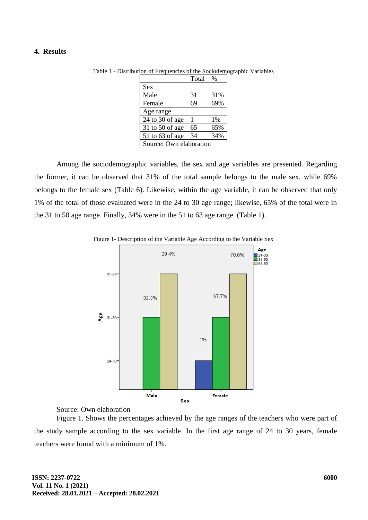### **4. Results**

|                         | Total | $\%$ |  |
|-------------------------|-------|------|--|
| <b>Sex</b>              |       |      |  |
| Male                    | 31    | 31%  |  |
| Female                  | 69    | 69%  |  |
| Age range               |       |      |  |
| $24$ to 30 of age       |       | 1%   |  |
| 31 to 50 of age         | 65    | 65%  |  |
| 51 to 63 of age         | 34    | 34%  |  |
| Source: Own elaboration |       |      |  |

Table 1 - Distribution of Frequencies of the Sociodemographic Variables

Among the sociodemographic variables, the sex and age variables are presented. Regarding the former, it can be observed that 31% of the total sample belongs to the male sex, while 69% belongs to the female sex (Table 6). Likewise, within the age variable, it can be observed that only 1% of the total of those evaluated were in the 24 to 30 age range; likewise, 65% of the total were in the 31 to 50 age range. Finally, 34% were in the 51 to 63 age range. (Table 1).



Figure 1- Description of the Variable Age According to the Variable Sex

# Source: Own elaboration

Figure 1. Shows the percentages achieved by the age ranges of the teachers who were part of the study sample according to the sex variable. In the first age range of 24 to 30 years, female teachers were found with a minimum of 1%.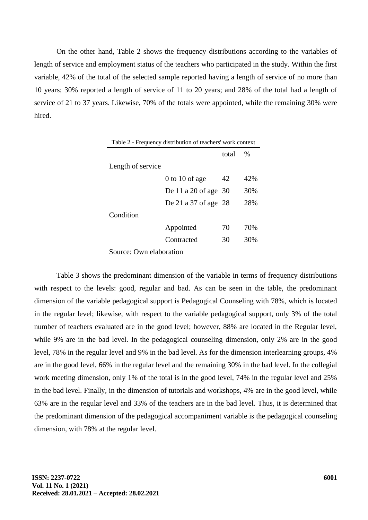On the other hand, Table 2 shows the frequency distributions according to the variables of length of service and employment status of the teachers who participated in the study. Within the first variable, 42% of the total of the selected sample reported having a length of service of no more than 10 years; 30% reported a length of service of 11 to 20 years; and 28% of the total had a length of service of 21 to 37 years. Likewise, 70% of the totals were appointed, while the remaining 30% were hired.

| Table 2 - Frequency distribution of teachers' work context |                        |       |               |  |
|------------------------------------------------------------|------------------------|-------|---------------|--|
|                                                            |                        | total | $\frac{0}{0}$ |  |
| Length of service                                          |                        |       |               |  |
|                                                            | $0$ to 10 of age       | 42    | 42%           |  |
|                                                            | De 11 a 20 of age $30$ |       | 30%           |  |
|                                                            | De 21 a 37 of age 28   |       | 28%           |  |
| Condition                                                  |                        |       |               |  |
|                                                            | Appointed              | 70    | 70%           |  |
|                                                            | Contracted             | 30    | 30%           |  |
| Source: Own elaboration                                    |                        |       |               |  |

Table 3 shows the predominant dimension of the variable in terms of frequency distributions with respect to the levels: good, regular and bad. As can be seen in the table, the predominant dimension of the variable pedagogical support is Pedagogical Counseling with 78%, which is located in the regular level; likewise, with respect to the variable pedagogical support, only 3% of the total number of teachers evaluated are in the good level; however, 88% are located in the Regular level, while 9% are in the bad level. In the pedagogical counseling dimension, only 2% are in the good level, 78% in the regular level and 9% in the bad level. As for the dimension interlearning groups, 4% are in the good level, 66% in the regular level and the remaining 30% in the bad level. In the collegial work meeting dimension, only 1% of the total is in the good level, 74% in the regular level and 25% in the bad level. Finally, in the dimension of tutorials and workshops, 4% are in the good level, while 63% are in the regular level and 33% of the teachers are in the bad level. Thus, it is determined that the predominant dimension of the pedagogical accompaniment variable is the pedagogical counseling dimension, with 78% at the regular level.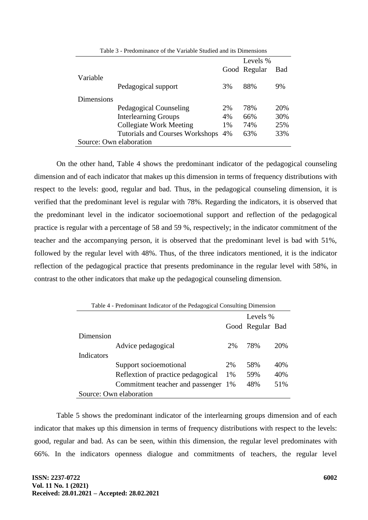|                         |                                        |    | Levels %     |     |
|-------------------------|----------------------------------------|----|--------------|-----|
|                         |                                        |    | Good Regular | Bad |
| Variable                |                                        |    |              |     |
|                         | Pedagogical support                    | 3% | 88%          | 9%  |
|                         |                                        |    |              |     |
| Dimensions              |                                        |    |              |     |
|                         | Pedagogical Counseling                 | 2% | 78%          | 20% |
|                         | <b>Interlearning Groups</b>            | 4% | 66%          | 30% |
|                         | <b>Collegiate Work Meeting</b>         | 1% | 74%          | 25% |
|                         | <b>Tutorials and Courses Workshops</b> | 4% | 63%          | 33% |
| Source: Own elaboration |                                        |    |              |     |
|                         |                                        |    |              |     |

Table 3 - Predominance of the Variable Studied and its Dimensions

On the other hand, Table 4 shows the predominant indicator of the pedagogical counseling dimension and of each indicator that makes up this dimension in terms of frequency distributions with respect to the levels: good, regular and bad. Thus, in the pedagogical counseling dimension, it is verified that the predominant level is regular with 78%. Regarding the indicators, it is observed that the predominant level in the indicator socioemotional support and reflection of the pedagogical practice is regular with a percentage of 58 and 59 %, respectively; in the indicator commitment of the teacher and the accompanying person, it is observed that the predominant level is bad with 51%, followed by the regular level with 48%. Thus, of the three indicators mentioned, it is the indicator reflection of the pedagogical practice that presents predominance in the regular level with 58%, in contrast to the other indicators that make up the pedagogical counseling dimension.

| Table 4 - Predominant Indicator of the Pedagogical Consulting Dimension |                                    |    |                  |     |
|-------------------------------------------------------------------------|------------------------------------|----|------------------|-----|
|                                                                         |                                    |    | Levels %         |     |
|                                                                         |                                    |    | Good Regular Bad |     |
| Dimension                                                               |                                    |    |                  |     |
|                                                                         | Advice pedagogical                 | 2% | 78%              | 20% |
| Indicators                                                              |                                    |    |                  |     |
|                                                                         | Support socioemotional             | 2% | 58%              | 40% |
|                                                                         | Reflextion of practice pedagogical | 1% | 59%              | 40% |
|                                                                         | Commitment teacher and passenger   | 1% | 48%              | 51% |
|                                                                         | Source: Own elaboration            |    |                  |     |

Table 5 shows the predominant indicator of the interlearning groups dimension and of each indicator that makes up this dimension in terms of frequency distributions with respect to the levels: good, regular and bad. As can be seen, within this dimension, the regular level predominates with 66%. In the indicators openness dialogue and commitments of teachers, the regular level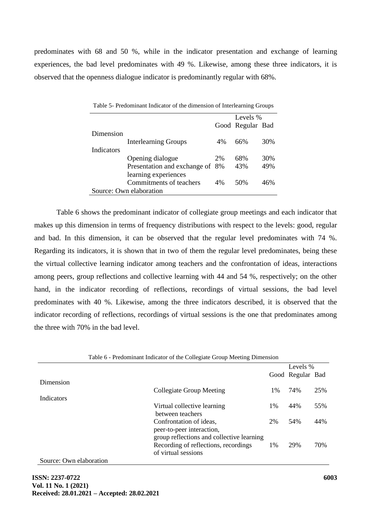predominates with 68 and 50 %, while in the indicator presentation and exchange of learning experiences, the bad level predominates with 49 %. Likewise, among these three indicators, it is observed that the openness dialogue indicator is predominantly regular with 68%.

| $1$ able $3$ -1 readminimit marcator of the unnension of micricalming stroups |                                 |    |                  |     |
|-------------------------------------------------------------------------------|---------------------------------|----|------------------|-----|
|                                                                               |                                 |    | Levels %         |     |
|                                                                               |                                 |    | Good Regular Bad |     |
| Dimension                                                                     |                                 |    |                  |     |
|                                                                               | <b>Interlearning Groups</b>     | 4% | 66%              | 30% |
| Indicators                                                                    |                                 |    |                  |     |
|                                                                               | Opening dialogue                | 2% | 68%              | 30% |
|                                                                               | Presentation and exchange of 8% |    | 43%              | 49% |
|                                                                               | learning experiences            |    |                  |     |
|                                                                               | Commitments of teachers         | 4% | 50%              | 46% |
|                                                                               | Source: Own elaboration         |    |                  |     |

Table 5- Predominant Indicator of the dimension of Interlearning Groups

Table 6 shows the predominant indicator of collegiate group meetings and each indicator that makes up this dimension in terms of frequency distributions with respect to the levels: good, regular and bad. In this dimension, it can be observed that the regular level predominates with 74 %. Regarding its indicators, it is shown that in two of them the regular level predominates, being these the virtual collective learning indicator among teachers and the confrontation of ideas, interactions among peers, group reflections and collective learning with 44 and 54 %, respectively; on the other hand, in the indicator recording of reflections, recordings of virtual sessions, the bad level predominates with 40 %. Likewise, among the three indicators described, it is observed that the indicator recording of reflections, recordings of virtual sessions is the one that predominates among the three with 70% in the bad level.

|                         | Table 6 - Predominant Indicator of the Collegiate Group Meeting Dimension |          |                  |     |
|-------------------------|---------------------------------------------------------------------------|----------|------------------|-----|
|                         |                                                                           | Levels % |                  |     |
|                         |                                                                           |          | Good Regular Bad |     |
| Dimension               |                                                                           |          |                  |     |
|                         | Collegiate Group Meeting                                                  | $1\%$    | 74%              | 25% |
| <b>Indicators</b>       |                                                                           |          |                  |     |
|                         | Virtual collective learning                                               | 1%       | 44%              | 55% |
|                         | between teachers                                                          |          |                  |     |
|                         | Confrontation of ideas,                                                   | 2%       | 54%              | 44% |
|                         | peer-to-peer interaction,                                                 |          |                  |     |
|                         | group reflections and collective learning                                 |          |                  |     |
|                         | Recording of reflections, recordings                                      | 1%       | 29%              | 70% |
|                         | of virtual sessions                                                       |          |                  |     |
| Source: Own elaboration |                                                                           |          |                  |     |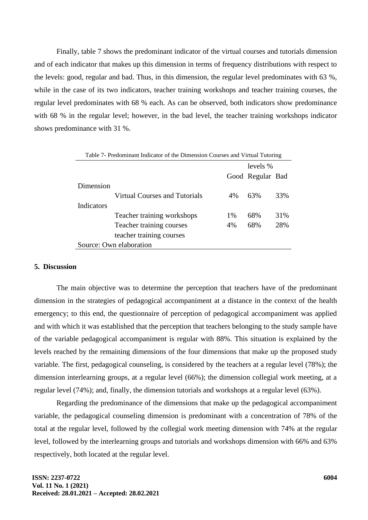Finally, table 7 shows the predominant indicator of the virtual courses and tutorials dimension and of each indicator that makes up this dimension in terms of frequency distributions with respect to the levels: good, regular and bad. Thus, in this dimension, the regular level predominates with 63 %, while in the case of its two indicators, teacher training workshops and teacher training courses, the regular level predominates with 68 % each. As can be observed, both indicators show predominance with 68 % in the regular level; however, in the bad level, the teacher training workshops indicator shows predominance with 31 %.

| Table 7- Predominant Indicator of the Dimension Courses and Virtual Tutoring |                                      |       |                  |     |
|------------------------------------------------------------------------------|--------------------------------------|-------|------------------|-----|
|                                                                              |                                      |       | levels %         |     |
|                                                                              |                                      |       | Good Regular Bad |     |
| Dimension                                                                    |                                      |       |                  |     |
|                                                                              | <b>Virtual Courses and Tutorials</b> | $4\%$ | 63%              | 33% |
| <b>Indicators</b>                                                            |                                      |       |                  |     |
|                                                                              | Teacher training workshops           | 1%    | 68%              | 31% |
|                                                                              | Teacher training courses             | 4%    | 68%              | 28% |
|                                                                              | teacher training courses             |       |                  |     |
| Source: Own elaboration                                                      |                                      |       |                  |     |

### **5. Discussion**

The main objective was to determine the perception that teachers have of the predominant dimension in the strategies of pedagogical accompaniment at a distance in the context of the health emergency; to this end, the questionnaire of perception of pedagogical accompaniment was applied and with which it was established that the perception that teachers belonging to the study sample have of the variable pedagogical accompaniment is regular with 88%. This situation is explained by the levels reached by the remaining dimensions of the four dimensions that make up the proposed study variable. The first, pedagogical counseling, is considered by the teachers at a regular level (78%); the dimension interlearning groups, at a regular level (66%); the dimension collegial work meeting, at a regular level (74%); and, finally, the dimension tutorials and workshops at a regular level (63%).

Regarding the predominance of the dimensions that make up the pedagogical accompaniment variable, the pedagogical counseling dimension is predominant with a concentration of 78% of the total at the regular level, followed by the collegial work meeting dimension with 74% at the regular level, followed by the interlearning groups and tutorials and workshops dimension with 66% and 63% respectively, both located at the regular level.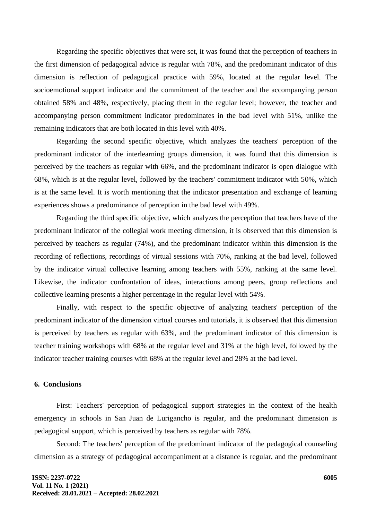Regarding the specific objectives that were set, it was found that the perception of teachers in the first dimension of pedagogical advice is regular with 78%, and the predominant indicator of this dimension is reflection of pedagogical practice with 59%, located at the regular level. The socioemotional support indicator and the commitment of the teacher and the accompanying person obtained 58% and 48%, respectively, placing them in the regular level; however, the teacher and accompanying person commitment indicator predominates in the bad level with 51%, unlike the remaining indicators that are both located in this level with 40%.

Regarding the second specific objective, which analyzes the teachers' perception of the predominant indicator of the interlearning groups dimension, it was found that this dimension is perceived by the teachers as regular with 66%, and the predominant indicator is open dialogue with 68%, which is at the regular level, followed by the teachers' commitment indicator with 50%, which is at the same level. It is worth mentioning that the indicator presentation and exchange of learning experiences shows a predominance of perception in the bad level with 49%.

Regarding the third specific objective, which analyzes the perception that teachers have of the predominant indicator of the collegial work meeting dimension, it is observed that this dimension is perceived by teachers as regular (74%), and the predominant indicator within this dimension is the recording of reflections, recordings of virtual sessions with 70%, ranking at the bad level, followed by the indicator virtual collective learning among teachers with 55%, ranking at the same level. Likewise, the indicator confrontation of ideas, interactions among peers, group reflections and collective learning presents a higher percentage in the regular level with 54%.

Finally, with respect to the specific objective of analyzing teachers' perception of the predominant indicator of the dimension virtual courses and tutorials, it is observed that this dimension is perceived by teachers as regular with 63%, and the predominant indicator of this dimension is teacher training workshops with 68% at the regular level and 31% at the high level, followed by the indicator teacher training courses with 68% at the regular level and 28% at the bad level.

### **6. Conclusions**

First: Teachers' perception of pedagogical support strategies in the context of the health emergency in schools in San Juan de Lurigancho is regular, and the predominant dimension is pedagogical support, which is perceived by teachers as regular with 78%.

Second: The teachers' perception of the predominant indicator of the pedagogical counseling dimension as a strategy of pedagogical accompaniment at a distance is regular, and the predominant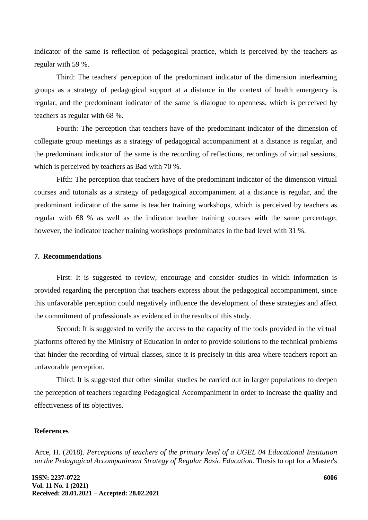indicator of the same is reflection of pedagogical practice, which is perceived by the teachers as regular with 59 %.

Third: The teachers' perception of the predominant indicator of the dimension interlearning groups as a strategy of pedagogical support at a distance in the context of health emergency is regular, and the predominant indicator of the same is dialogue to openness, which is perceived by teachers as regular with 68 %.

Fourth: The perception that teachers have of the predominant indicator of the dimension of collegiate group meetings as a strategy of pedagogical accompaniment at a distance is regular, and the predominant indicator of the same is the recording of reflections, recordings of virtual sessions, which is perceived by teachers as Bad with 70 %.

Fifth: The perception that teachers have of the predominant indicator of the dimension virtual courses and tutorials as a strategy of pedagogical accompaniment at a distance is regular, and the predominant indicator of the same is teacher training workshops, which is perceived by teachers as regular with 68 % as well as the indicator teacher training courses with the same percentage; however, the indicator teacher training workshops predominates in the bad level with 31 %.

### **7. Recommendations**

First: It is suggested to review, encourage and consider studies in which information is provided regarding the perception that teachers express about the pedagogical accompaniment, since this unfavorable perception could negatively influence the development of these strategies and affect the commitment of professionals as evidenced in the results of this study.

Second: It is suggested to verify the access to the capacity of the tools provided in the virtual platforms offered by the Ministry of Education in order to provide solutions to the technical problems that hinder the recording of virtual classes, since it is precisely in this area where teachers report an unfavorable perception.

Third: It is suggested that other similar studies be carried out in larger populations to deepen the perception of teachers regarding Pedagogical Accompaniment in order to increase the quality and effectiveness of its objectives.

## **References**

Arce, H. (2018). *Perceptions of teachers of the primary level of a UGEL 04 Educational Institution on the Pedagogical Accompaniment Strategy of Regular Basic Education.* Thesis to opt for a Master's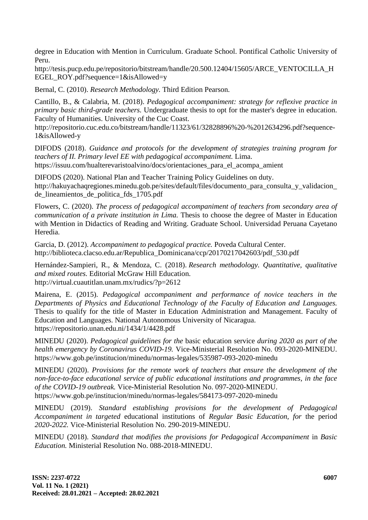degree in Education with Mention in Curriculum. Graduate School. Pontifical Catholic University of Peru.

http://tesis.pucp.edu.pe/repositorio/bitstream/handle/20.500.12404/15605/ARCE\_VENTOCILLA\_H EGEL\_ROY.pdf?sequence=1&isAllowed=y

Bernal, C. (2010). *Research Methodology.* Third Edition Pearson.

Cantillo, B., & Calabria, M. (2018). *Pedagogical accompaniment: strategy for reflexive practice in primary basic third-grade teachers.* Undergraduate thesis to opt for the master's degree in education. Faculty of Humanities. University of the Cuc Coast.

http://repositorio.cuc.edu.co/bitstream/handle/11323/61/32828896%20-%2012634296.pdf?sequence-1&isAllowed-y

DIFODS (2018). *Guidance and protocols for the development of strategies training program for teachers of II. Primary level EE with pedagogical accompaniment.* Lima. https://issuu.com/hualterevaristoalvino/docs/orientaciones\_para\_el\_acompa\_amient

DIFODS (2020). National Plan and Teacher Training Policy Guidelines on duty. http://hakuyachaqregiones.minedu.gob.pe/sites/default/files/documento\_para\_consulta\_y\_validacion de\_lineamientos\_de\_politica\_fds\_1705.pdf

Flowers, C. (2020). *The process of pedagogical accompaniment of teachers from secondary area of communication of a private institution in Lima.* Thesis to choose the degree of Master in Education with Mention in Didactics of Reading and Writing. Graduate School. Universidad Peruana Cayetano Heredia.

Garcia, D. (2012). *Accompaniment to pedagogical practice.* Poveda Cultural Center. http://biblioteca.clacso.edu.ar/Republica\_Dominicana/ccp/20170217042603/pdf\_530.pdf

Hernández-Sampieri, R., & Mendoza, C. (2018). *Research methodology. Quantitative, qualitative and mixed routes.* Editorial McGraw Hill Education. http://virtual.cuautitlan.unam.mx/rudics/?p=2612

Mairena, E. (2015). *Pedagogical accompaniment and performance of novice teachers in the Departments of Physics and Educational Technology of the Faculty of Education and Languages.* Thesis to qualify for the title of Master in Education Administration and Management. Faculty of Education and Languages. National Autonomous University of Nicaragua. https://repositorio.unan.edu.ni/1434/1/4428.pdf

MINEDU (2020). *Pedagogical guidelines for the* basic education service *during 2020 as part of the health emergency by Coronavirus COVID-19.* Vice-Ministerial Resolution No. 093-2020-MINEDU. https://www.gob.pe/institucion/minedu/normas-legales/535987-093-2020-minedu

MINEDU (2020). *Provisions for the remote work of teachers that ensure the development of the non-face-to-face educational service of public educational institutions and programmes, in the face of the COVID-19 outbreak.* Vice-Ministerial Resolution No. 097-2020-MINEDU. https://www.gob.pe/institucion/minedu/normas-legales/584173-097-2020-minedu

MINEDU (2019). *Standard establishing provisions for the development of Pedagogical Accompaniment in targeted* educational institutions of *Regular Basic Education, for* the period *2020-2022.* Vice-Ministerial Resolution No. 290-2019-MINEDU.

MINEDU (2018). *Standard that modifies the provisions for Pedagogical Accompaniment* in *Basic Education.* Ministerial Resolution No. 088-2018-MINEDU.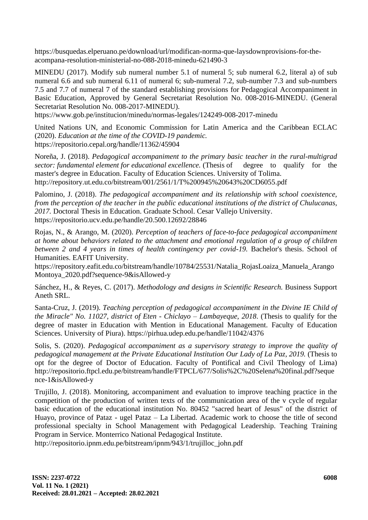https://busquedas.elperuano.pe/download/url/modifican-norma-que-laysdownprovisions-for-theacompana-resolution-ministerial-no-088-2018-minedu-621490-3

MINEDU (2017). Modify sub numeral number 5.1 of numeral 5; sub numeral 6.2, literal a) of sub numeral 6.6 and sub numeral 6.11 of numeral 6; sub-numeral 7.2, sub-number 7.3 and sub-numbers 7.5 and 7.7 of numeral 7 of the standard establishing provisions for Pedagogical Accompaniment in Basic Education, Approved by General Secretariat Resolution No. 008-2016-MINEDU. (General Secretariat Resolution No. 008-2017-MINEDU).

https://www.gob.pe/institucion/minedu/normas-legales/124249-008-2017-minedu

United Nations UN, and Economic Commission for Latin America and the Caribbean ECLAC (2020). *Education at the time of the COVID-19 pandemic.* https://repositorio.cepal.org/handle/11362/45904

Noreña, J. (2018). *Pedagogical accompaniment to the primary basic teacher in the rural-multigrad sector: fundamental element for educational excellence.* (Thesis of degree to qualify for the master's degree in Education. Faculty of Education Sciences. University of Tolima. http://repository.ut.edu.co/bitstream/001/2561/1/T%200945%20643%20CD6055.pdf

Palomino, J. (2018). *The pedagogical accompaniment and its relationship with school coexistence, from the perception of the teacher in the public educational institutions of the district of Chulucanas, 2017.* Doctoral Thesis in Education. Graduate School. Cesar Vallejo University. https://repositorio.ucv.edu.pe/handle/20.500.12692/28846

Rojas, N., & Arango, M. (2020). *Perception of teachers of face-to-face pedagogical accompaniment at home about behaviors related to the attachment and emotional regulation of a group of children between 2 and 4 years in times of health contingency per covid-19.* Bachelor's thesis. School of Humanities. EAFIT University.

https://repository.eafit.edu.co/bitstream/handle/10784/25531/Natalia\_RojasLoaiza\_Manuela\_Arango Montoya\_2020.pdf?sequence-9&isAllowed-y

Sánchez, H., & Reyes, C. (2017). *Methodology and designs in Scientific Research.* Business Support Aneth SRL.

Santa-Cruz, J. (2019). *Teaching perception of pedagogical accompaniment in the Divine IE Child of the Miracle" No. 11027, district of Eten - Chiclayo – Lambayeque, 2018*. (Thesis to qualify for the degree of master in Education with Mention in Educational Management. Faculty of Education Sciences. University of Piura). https://pirhua.udep.edu.pe/handle/11042/4376

Solis, S. (2020). *Pedagogical accompaniment as a supervisory strategy to improve the quality of pedagogical management at the Private Educational Institution Our Lady of La Paz, 2019.* (Thesis to opt for the degree of Doctor of Education. Faculty of Pontifical and Civil Theology of Lima) http://repositorio.ftpcl.edu.pe/bitstream/handle/FTPCL/677/Solis%2C%20Selena%20final.pdf?seque nce-1&isAllowed-y

Trujillo, J. (2018). Monitoring, accompaniment and evaluation to improve teaching practice in the competition of the production of written texts of the communication area of the v cycle of regular basic education of the educational institution No. 80452 "sacred heart of Jesus" of the district of Huayo, province of Pataz - ugel Pataz – La Libertad. Academic work to choose the title of second professional specialty in School Management with Pedagogical Leadership. Teaching Training Program in Service. Monterrico National Pedagogical Institute.

http://repositorio.ipnm.edu.pe/bitstream/ipnm/943/1/trujilloc\_john.pdf